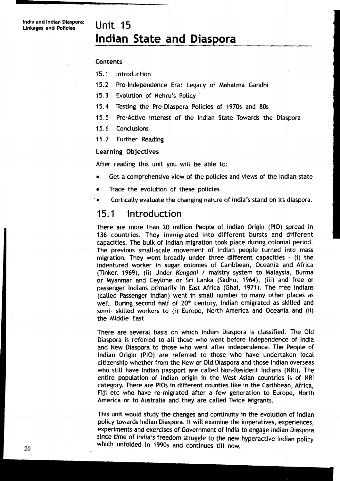# **lndian State and**

#### Contents

- 15.1 Introduction
- 15.2 Pre-Independence Era: Legacy of Mahatma Gandhi
- 15.3 Evolution of Nehru's Policy
- 15.4 Testing the Pro-Diaspora Policies of 1970s and 80s
- 15.5 Pro-Active Interest of the lndian State Towards the Diaspora
- 15.6 Conclusions
- 15.7 Further Reading

Learning Objectives

After reading this unit you will be able to:

- Get a comprehensive view of the policies and views of the lndian state  $\bullet$
- Trace the evolution of these policies
- ' Cortically evaluate the changing nature of India's stand on its diaspora.

#### 15.1 Introduction

There are more than 20 million People of lndian Origin (PIO) spread in 136 countries. They immigrated into different bursts and different capacities. The bulk of lndian migration took place during colonial period. The previous small-scale movement of lndian people turned into mass migration. They went broadly under three different capacities - (i) the indentured worker in sugar colonies of Caribbean, Oceania and Africa (Tinker, 1969), (ii) Under *Kangani* / maistry system to Malaysia, Burma or Myanmar and Ceylone or Sri Lanka (Sadhu, 1964), (iii) and free or passenger lndians primarily in East Africa (Ghai, 1971). The free lndians (called Passenger Indian) went in small number to many other places as well. During second half of 20<sup>th</sup> century, Indian emigrated as skilled and semi- skilled workers to (i) Europe, North America and Oceania and (ii) the Middle East.

There are several basis on which lndian Diaspora is classified. The Old Diaspora is referred to all those who went before independence of lndia and New Diaspora to those who went after independence. The People of lndian Origin (PIO) are referred to those who have undertaken local citizenship whether from the New or Old Diaspora and those lndian overseas who still have lndian passport are called Non-Resident lndians (NRI). The entire population of lndian origin in the West Asian countries is of NRI category. There are PlOs in different counties like in the Caribbean, Africa, Fiji etc who have re-migrated after a few generation to Europe, North America or to Australia and they are called Twice Migrants.

This unit would study the changes and continuity in the evolution of lndian policy towards lndian Diaspora. It will examine the imperatives, experiences, experiments and exercises of Government 01 lndia to engage lndian Diaspora since time of India's freedom struggle to the new hyperactive lndian policy which unfolded in 1990s and continues till now.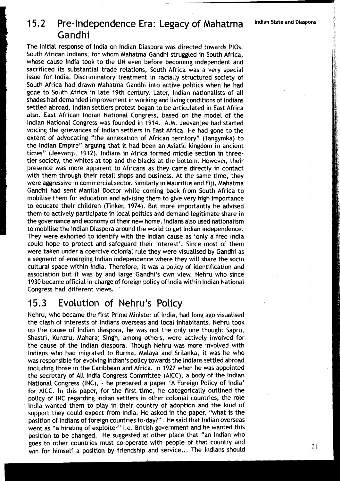# 1 **5.2** Pre- Independence Era: Legacy of Mahatma **Indian State and i** Gandhi

The initial response of India on Indian Diaspora was directed towards PIOs. South African Indians, for whom Mahatma Gandhi struggled in South Africa, whose cause lndia took to the UN even before becoming independent and sacrificed its substantial trade relations, South Africa was a very special issue for India. Discriminatory treatment in racially structured society of South Africa had drawn Mahatma Gandhi into active politics when he had gone to South Africa in late 19th century. Later, lndian nationalists of all shades had demanded improvement in working and living conditions of lndians settled abroad. lndian settlers protest began to be articulated in East Africa also. East African lndian National Congress, based on the model of the lndian National Congress was founded in 1914. A.M. Jeevanjee had started voicing the grievances of lndian settlers in East Africa. He had gone to the extent of advocating "the annexation of African territory" (Tangynika) to the lndian Empire" arguing that it had been an Asiatic kingdom in ancient times" (Jeevanji, 1912). lndians in Africa formed middle section in threetier society, the whites at top and the blacks at the bottom. However, their presence was more apparent to Africans as they came directly in contact with them through their retail shops and business. At the same time, they were aggressive in commercial sector. Similarly in Mauritius and Fiji, Mahatma Gandhi had sent Manila1 Doctor while coming back from South Africa to mobilise them for education and advising them to give very high importance to educate their children (Tinker, 1974). But more importantly he advised them to actively participate in local politics and demand legitimate share in the governance and economy of their new home. lndians also used nationalism to mobilise the lndian Diaspora around the world to get lndian independence. They were exhorted to identify with the lndian cause as 'only a free lndia could hope to protect and safeguard their interest'. Since most of them were taken under a coercive colonial rule they were visualised by Gandhi as a segment of emerging lndian independence where they will share the socio cultural space within India. Therefore, it was a policy of identification and association but it was by and large Gandhi's own view. Nehru who since 1930 became official in-charge of foreign policy of lndia within lndian National Congress had different views.

#### $15.3$ Evolution **Nehru's** Policy

Nehru, who became the first Prime Minister of India, had long ago visualised the clash of interests of lndians overseas and local inhabitants. Nehru took up the cause of lndian diaspora, he was not the only one though: Sapru, Shastri, Kunzru, Maharaj Singh, among others, were actively involved for the cause of the lndian diaspora. Though Nehru was more involved with lndians who had migrated to Burma, Malaya and Srilanka, it was he who was responsible for evolving Indian's policy towards the Indians settled abroad including those in the Caribbean and Africa. In 1927 when he was appointed the secretary of All lndia Congress Committee (AICC), a body of the lndian National Congress (INC), - he prepared a paper 'A Foreign Policy of India' for AICC. In this paper, for the first time, he categorically outlined the policy of INC regarding lndian settlers in other colonial countries, the role lndia wanted them to play in their country of adoption and the kind of support they could expect from India. He asked in the paper, "what is the position of lndians of foreign countries to-day?" . He said that lndian overseas went as "a hireling of exploiter" i.e. British government and he wanted this position to be changed. He suggested at other place that "an lndian who goes to other countries must co-operate with people of that country and win for himself a position by friendship and service... The Indians should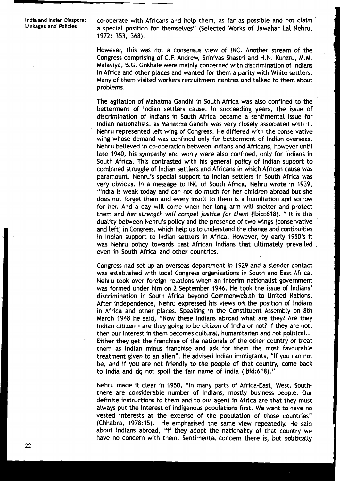**lndia and lndian Maspora:** co-operate with Africans and help them, as far as possible and not claim **Linkages and Policies** a special position for themselves" (Selected Works of Jawahar La1 Nehru, 1972: 353, 368).

> However, this was not a consensus view of INC. Another stream of the Congress comprising of C.F. Andrew, Srinivas Shastri and H.N. Kunzru, M.M. Malaviya, 0.G . Gokhale were mainly concerned with discrimination of lndians in Africa and other places and wanted for them a parity with White settlers. Many of them visited workers recruitment centres and talked to them about problems. ,

> The agitation of Mahatma Gandhi in South Africa was also confined to the betterment of lndian settlers cause. In succeeding years, the issue of discrimination of lndians in South Africa became a sentimental issue for lndian nationalists, as Mahatma Gandhi was very closely associated with it. Nehru represented left wing of Congress. He differed with the conservative wing whose demand was confined only for betterment of lndian overseas. Nehru believed in co-operation between lndians and Africans, however until late 1940, his sympathy and worry were also confined, only for lndians in South Africa. This contrasted with his general policy of lndian support to combined struggle of lndian settlers and Africans in which African cause was paramount. Nehru's special support to lndian settlers in South Africa was very obvious. In a message to INC of South Africa, Nehru wrote in 1939, "lndia is weak today and can not do much for her children abroad but she does not forget them and every insult to them is a humiliation and sorrow for her. And a day will come when her long arm will shelter and protect them and her strength will compel justice for them (lbid:618). " It is this duality between Nehru's policy and the presence of two wings (conservative and left) in Congress, which help us to understand the change and continuities in lndian support to lndian settlers in Africa. However, by early 1950's it was Nehru policy towards East African lndians that ultimately prevailed even in South Africa and other countries.

> Congress had set up an overseas department in 1929 and a slender contact was established with local Congress organisations in South and East Africa. Nehru took over foreign relations when an interim nationalist government was formed under him on 2 September 1946. He took the issue of Indians' discrimination in South Africa beyond Commonwealth to United Nations. After independence, Nehru expressed his views on the position of Indians in Africa and other places. Speaking in the Constituent Assembly on 8th March 1948 he said, "Now these lndians abroad what are they? Are they lndian citizen - are they going to be citizen of lndia or not? If they are not, then our interest in them becomes cultural, humanitarian and not political.. . Either they get the franchise of the nationals of the other country or treat them as lndian minus franchise and ask for them the most favourable treatment given to an alien". He advised lndian immigrants, "If you can not be, and if you are not friendly to the people of that country, come back to India and do not spoil the fair name of India (lbid:618)."

> Nehru made it clear in 1950, "In many parts of Africa-East, West, Souththere are considerable number of Indians, mostly business people. Our definite instructions to them and to our agent in Africa are that they must always put the interest of indigenous populations first. We want to have no vested interests at the expense of the population of those countries" (Chhabra, 1978:15). He emphasised the same view repeatedly. He said about lndians abroad, "if they adopt the nationality of that country we have no concern with them. Sentimental concern there is, but politically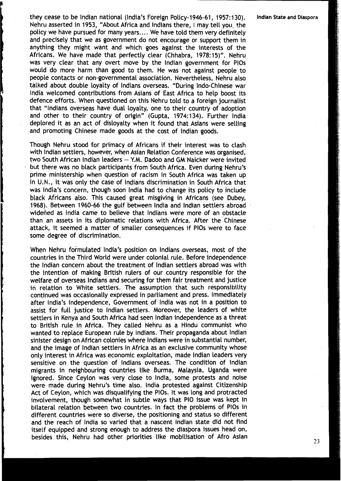they cease to be lndian national (India's Foreign Policy- 1946-61, 1957: 130). **lndian State and Diaspora**  Nehru asserted in 1953, "About Africa and lndians there, I may tell you, the policy we have pursued for many years. .. . We have told them very definitely and precisely that we as government do not encourage or support them in anything they might want and which goes against the interests of the Africans. We have made that perfectly clear (Chhabra, 1978: 15)". Nehru was very clear that any overt move by the lndian government for PlOs would do more harm than good to them. He was not against people to people contacts or non-governmental association. Nevertheless, Nehru also talked about double Loyalty of lndians overseas. "During Indo-Chinese war lndia welcomed contributions from Asians of East Africa to help boost its defence efforts. When questioned on this Nehru told to a foreign journalist that "lndians overseas have dual Loyalty, one to their country of adoption and other to their country of origin" (Gupta, 1974:134). Further lndia deplored it as an act of disloyalty when it found that Asians were selling and promoting Chinese made goods at the cost of lndian goods.

'rhough Nehru stood for primacy of Africans if their interest was to clash with lndian settlers, however, when Asian Relation Conference was organised, two South African lndian Leaders - Y.M. Dadoo and GM Naicker were invited but there was no black participants from South Africa. Even during Nehru's prime ministership when question of racism in South Africa was taken up in U.N., it was only the case of Indians discrimination in South Africa that was India's concern, though soon lndia had to change its policy to include black Africans also. This caused great misgiving in Africans (see Dubey, 1968). Between 1960-66 the gulf between lndia and lndian settlers abroad widehed as lndia came to believe that lndians were more of an obstacle than an assets in its diplomatic relations with Africa. After the Chinese attack, it seemed a matter of smaller consequences if PlOs were to face some degree of discrimination.

When Nehru formulated India's position on lndians overseas, most of the countries in the Third World were under colonial rule. Before independence the lndian concern about the treatment of lndian settlers abroad was with the intention of making British rulers of our country responsible for the welfare of overseas lndians and securing for them fair treatment and justice in relation to White settlers. The assumption that such responsibility continued was occasionally expressed in parliament and press. Immediately after India's independence, Government of lndia was not in a position to assist for full justice to lndian settlers. Moreover, the leaders of white settlers in Kenya and South Africa had seen lndian independence as a threat to British rule in Africa. They called Nehru as a Hindu communist who wanted to replace European rule by Indians. Their propaganda about lndian sinister design on African colonies where lndians were in substantial number, and the image of lndian settlers in Africa as an exclusive community whose only interest in Africa was economic exploitation, made lndian Leaders very sensitive on the question of lndians overseas. 'The condition of lndian migrants in neighbouring countries like Burma, Malaysia, Uganda were ignored. Since Ceylon was very close to India, some protests and noise were made during Nehru's time also. lndia protested against Citizenship Act of Ceylon, which was disqualifying the PlOs. It was long and protracted involvement, though somewhat in subtle ways that PI0 issue was kept in bilateral relation between two countries. In fact the problems of PlOs in different countries were so diverse, the positioning and status so different and the reach of lndia so varied that a nascent lndian state did not find itself equipped and strong enough to address the diaspora issues head on, besides this, Nehru had other priorities like mobilisation of Afro Asian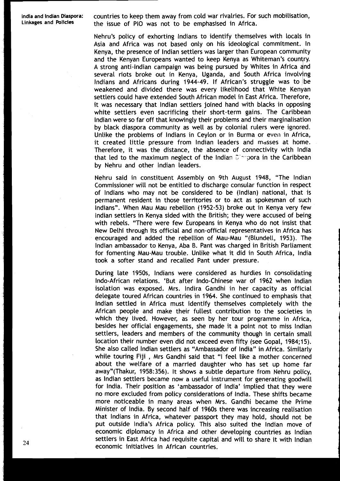**lndia and lndian Diaspora:** countries to keep them away from cold war rivalries. For such mobilisation, the issue of PIO was not to be emphasised in Africa.

> Nehru's policy of exhorting lndians to identify themselves with locals in Asia and Africa was not based only on his ideological commitment. In Kenya, the presence of lndian settlers was Larger than European community and the Kenyan Europeans wanted to keep Kenya as Whiteman's country. A strong anti-Indian campaign was being pursued by Whites in Africa and several riots broke out in Kenya, Uganda, and South Africa involving Indians and Africans during 1944-49. If African's struggle was to be weakened and divided there was every likelihood that White Kenyan settlers could have extended South African model in East Africa. Therefore, it was necessary that lndian settlers joined hand with blacks in opposing white settlers even sacrificing their short-term gains. The Caribbean lndian were so far off that knowingly their problems and their marginalisation by black diaspora community as well as by colonial rulers were ignored. Unlike the problems of Indians in Ceylon or in Burma or even in Africa, it created little pressure from lndian leaders and masses at home. Therefore, it was the distance, the absence of connectivity with lndia that led to the maximum neglect of the Indian  $\tilde{L}$  - pora in the Caribbean by Nehru and other lndian Leaders.

> Nehru said in constituent Assembly on 9th August 1948, "The lndian Commissioner will not be entitled to discharge consular function in respect of lndians who may not be considered to be (Indian) national, that is permanent resident in those territories or to act as spokesman of such Indians". When Mau Mau rebellion (1952-53) broke out in Kenya very few lndian settlers in Kenya sided with the British; they were accused of being with rebels. "There were few Europeans in Kenya who do not insist that New Delhi through its official and non-official representatives in Africa has encouraged and added the rebellion of Mau-Mau "(Blundell, 1953). The lndian ambassador to Kenya, Aba B. Pant was charged in British Parliament for fomenting Mau-Mau trouble. Unlike what it did in South Africa, lndia took a softer stand and recalled Pant under pressure.

During late 1950s, Indians were considered as hurdles in consolidating Indo-African relations. 'But after Indo-Chinese war of 1962 when lndian isolation was exposed. Mrs. lndira Gandhi in her capacity as official delegate toured African countries in 1964. She continued to emphasis that lndian settled in Africa must identify themselves completely with the African people and make their fullest contribution to the societies in which they lived. However, as seen by her tour programme in Africa, besides her official engagements, she made it a point not to miss lndian settlers, leaders and members of the community though in certain small location their number even did not exceed even fifty (see Gopal, 1984;15). She also called lndian settlers as "Ambassador of India" in Africa. Similarly while touring Fiji , Mrs Gandhi said that "I feel like a mother concerned about the welfare of a married daughter who has set up home far away"(Thakur, 1958: 356). It shows a subtle departure from Nehru policy, as lndian settlers became now a useful instrument for generating goodwill for India. Their position as 'ambassador of India' implied that they were no more excluded from policy considerations of India. These shifts became more noticeable in many areas when Mrs. Gandhi became the Prime Minister of India. By second half of 1960s there was increasing realisation that lndians in Africa, whatever passport they may hold, should not be put outside India's Africa policy. This also suited the lndian move of economic diplomacy in Africa and other developing countries as lndian settlers in East Africa had requisite capital and will to share it with Indian economic initiatives in African countries.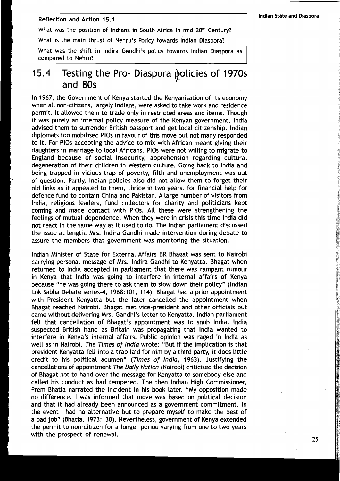#### Reflection and Action 15.1

What was the position of Indians in South Africa in mid 20<sup>th</sup> Century?

What is the main thrust of Nehru's Policy towards lndian Diaspora?

What was the shift in lndira Gandhi's policy towards lndian Diaspora as compared to Nehru?

### 15.4 Testing the Pro- Diaspora policies of 1970s and 80s

In 1967, the Government of Kenya started the Kenyanisation of its economy when all non-citizens, largely Indians, were asked to take work and residence permit. It allowed them to trade only in restricted areas and items. Though it was purely an internal policy measure of the Kenyan government, lndia advised them to surrender British passport and get local citizenship. lndian diplomats too mobilised PlOs in favour of this move but not many responded to it. For PlOs accepting the advice to mix with African meant giving their daughters in marriage to local Africans. PlOs were not willing to migrate to England because of social insecurity, apprehension regarding cultural degeneration of their children in Western culture. Going back to lndia and being trapped in vicious trap of poverty, filth and unemployment was out of question. Partly, lndian policies also did not allow them to forget their old links as it appealed to them, thrice in two years, for financial help for defence fund to contain China and Pakistan. A large number of visitors from India, religious leaders, fund collectors for charity and politicians kept coming and made contact with PlOs. All these were strengthening the feelings of mutual dependence. When they were in crisis this time lndia did not react in the same way as it used to do. The lndian parliament discussed the issue at length. Mrs. lndira Gandhi made intervention during debate to assure the members that government was monitoring the situation.<br>\

lndian Minister of State for External Affairs BR Bhagat was sent to Nairobi carrying personal message of Mrs. lndira Gandhi to Kenyatta. Bhagat when returned to lndia accepted in parliament that there was rampant rumour in Kenya that lndia was going to interfere in internal affairs of Kenya because "he was going there to ask them to slow down their policy" (Indian Lok Sabha Debate series-4, 1968:101, 114). Bhagat had a prior appointment with President Kenyatta but the later cancelled the appointment when Bhagat reached Nairobi. Bhagat met vice-president and other officials but came without delivering Mrs. Gandhi's letter to Kenyatta. lndian parliament felt that cancellation of Bhagat's appointment was to snub India. lndia suspected British hand as Britain was propagating that lndia wanted to interfere in Kenya's internal affairs. Public opinion was raged in lndia as well as in Nairobi. The Times of lndia wrote: "But if the implication is that president Kenyatta fell into a trap laid for him by a third party, it does little credit to his political acumen" (Times of India, 1963). Justifying the cancellations of appointment The Daily Nation (Nairobi) criticised the decision of Bhagat not to hand over the message for Kenyatta to somebody else and called his conduct as bad tempered. The then lndian High\ Commissioner, Prem Bhatia narrated the incident in his book later. "My opposition made no difference. I was informed that move was based on political decision and that it had already been announced as a government commitment. In the event I had no alternative but to prepare myself to make the best of a bad job" (Bhatia, 1973: 130). Nevertheless, government of Kenya extended the permit to non-citizen for a longer period varying from one to two years with the prospect of renewal.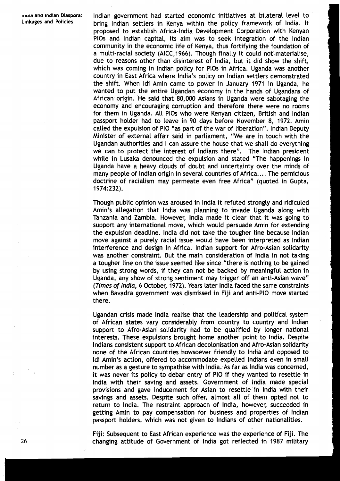Indian government had started economic initiatives at bilateral level to bring lndian settlers in Kenya within the policy framework of India. It proposed to establish Africa-India Development Corporation with Kenyan PlOs and lndian capital, its aim was to seek integration of the lndian community in the economic life of Kenya, thus fortifying the foundation of a multi-racial society (AICC, 1966). Though finally it could not materialise, due to reasons other than disinterest of India, but it did show the shift, which was coming in lndian policy for PlOs in Africa. Uganda was another country in East Africa where India's policy on lndian settlers demonstrated the shift. When Idi Amin came to power in January 1971 in Uganda, he wanted to put the entire Ugandan economy in the hands of Ugandans of African origin. He said that 80,000 Asians in Uganda were sabotaging the economy and encouraging corruption and therefore there were no rooms for them in Uganda. All PlOs who were Kenyan citizen, British and lndian passport holder had to leave in 90 days before November 8, 1972. Amin called the expulsion of PI0 "as part of the war of liberation". lndian Deputy Minister of external affair said in parliament, "We are in touch with the Ugandan authorities and I can assure the house that we shall do everything we can to protect the interest of lndians there". The lndian president while in Lusaka denounced the expulsion and stated "The happenings in Uganda have a heavy clouds of doubt and uncertainty over the minds of many people of lndian origin in several countries of Africa. .. . The pernicious doctrine of racialism may permeate even free Africa" (quoted in Gupta, 1974:232).

Though public opinion was aroused in lndia it refuted strongly and ridiculed Amin's allegation that lndia was planning to invade Uganda along with Tanzania and Zambia. However, lndia made it clear that it was going to support any international move, which would persuade Amin for extending the expulsion deadline. lndia did not take the tougher line because lndian move against a purely racial issue would have been interpreted as lndian interference and design in Africa. lndian support for Afro-Asian solidarity was another constraint. But the main consideration of lndia in not taking a tougher line on the issue seemed like since "there is nothing to be gained by using strong words, if they can not be backed by meaningful action in Uganda, any show of strong sentiment may trigger off an anti-Asian wave" (Times of India, 6 October, 1972). Years later lndia faced the same constraints when Bavadra government was dismissed in Fiji and anti-PI0 move started there.

Ugandan crisis made lndia realise that the leadership and political system of African states vary considerably from country to country and lndian support to Afro-Asian solidarity had to be qualified by longer national interests. These expulsions brought home another point to India. Despite lndians consistent support to African decolonisation and Afro-Asian solidarity none of the African countries howsoever friendly to lndia and opposed to Idi Amin's action, offered to accommodate expelled lndians even in small number as a gesture to sympathise with India. As far as lndia was concerned, it was never its policy to debar entry of PI0 if they wanted to resettle in lndia with their saving and assets. Government of lndia made special provisions and gave inducement for Asian to resettle in lndia with their savings and assets. Despite such offer, almost all of them opted not to return to India. The restraint approach of India, however, succeeded in getting Amin to pay compensation for business and properties of lndian passport holders, which was not given to lndians of other nationalities.

Fiji: Subsequent to East African experience was the experience of Fiji. The changing attitude of Government of lndia got reflected in 1987 military

26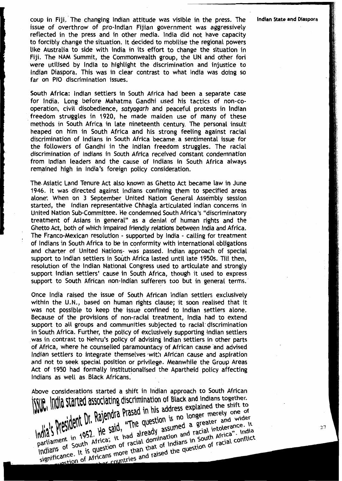coup in Fiji. 'The changing lndian attitude was visible in the press. The **lndian Stateand Diaspora**  issue of overthrow of pro-Indian Fijian government was aggressively reflected in the press and in other media. lndia did not have capacity to forcibly change the situation. It decided to mobilise the regional powers Like Australia to side with lndia in its effort to change the situation in Fiji. The NAM Summit, the Commonwealth group, the UN and other fori were utilised by lndia to highlight the discrimination and injustice to lndian Diaspora. This was in clear contrast to what lndia was doing so far on PI0 discrimination issues.

South Africa: lndian settlers in South Africa had been a separate case for India. Long before Mahatma Gandhi used his tactics of non-cooperation, civil disobedience, satyagarh and peaceful protests in lndian freedom struggles in 1920, he made maiden use of many of these methods in South Africa in late nineteenth century. The personal insult heaped on him in South Africa and his strong feeling against racial discrimination of lndians in South Africa became a sentimental issue for the followers of Gandhi in the lndian freedom struggles. The racial discrimination of lndians in South Africa received constant condemnation from lndian leaders and the cause of lndians in South Africa always remained high in India's foreign policy consideration.

The.Asiatic Land Tenure Act also known as Ghetto Act became law in June 1946. It was directed against lndians confining them to specified areas alone: When on 3 September United Nation General Assembly session started, the Indian representative Chhagla articulated lndian concerns in United Nation Sub-committee. He condemned South Africa's "discriminatory treatment of Asians in general" as a denial of human rights and the Ghetto Act, both of which impaired friendly relations between India and Africa. The Franco-Mexican resolution - supported by lndia - calling for treatment of lndians in South Africa to be in conformity with international obligations and charter of United Nations- was passed. lndian approach of special support to lndian settlers in South Africa Lasted until late 1950s. Till then, resolution of the lndian National Congress used to articulate and strongly support lndian settlers' cause in South Africa, though it used to express support to South African non-Indian sufferers too but in general terms.

Once lndia raised the issue of South African lndian settlers exclusively within the U.N., based on human rights clause; it soon realised that it was not possible to keep the issue confined to lndian settlers alone. Because of the provisions of non-racial treatment, lndia had to extend support to all groups and communities subjected to racial discrimination in South Africa. Further, the policy of exclusively supporting  $\ln$  indian settlers was in contrast to Nehru's policy of advising lndian settlers in other parts of Africa, where he counselled paramountacy of African cause and advised lndian settlers to integrate themselves .with African cause and aspiration and not to seek special position or privilege. Meanwhile the Group Areas Act of 1950 had formally institutionalised the Apartheid policy affecting lndians as well as Black Africans.

Above considerations started a shift in Indian approach to South African<br>
WWW, multiple started associating discrimination of Black and Indians together.<br>
WWW, multiple started associating discrimination of Black and India INCREASE South Africa; it had already assumed a greater and wider<br>parliament in 1952. He said, "The question is no longer merely one of<br>parliament in 1952. He said, "The question is no longer merely one of<br>parliament in 19 India President Dr. Rajendra Prasad in his address explained the smile of the said, "The question is no longer merely one of a straight in 1952. He said, "The question is no longer merely one of the parliament in 1952. He May President Dr. Kajellula Hustan question is no longer inerctors and wider<br>notial S. President in 1952. He said, "The question is no longer inerctor and wider<br>parliament in 1952. He said, it had already assumed a greater President in 1952. He said, "The your assumed a greater folerance. It<br>nent in 1952. He said, "India already assumed a greater folerance. It<br>is of South Africa; it had already and racial intolerance. It is question of racia The sure, had already asset and racial mariam. India<br>Irica; it had domination and racial Africa". India<br>Iricans more than that of Indians in South Africa conflict<br>Iricans more than that of the question of racial conflict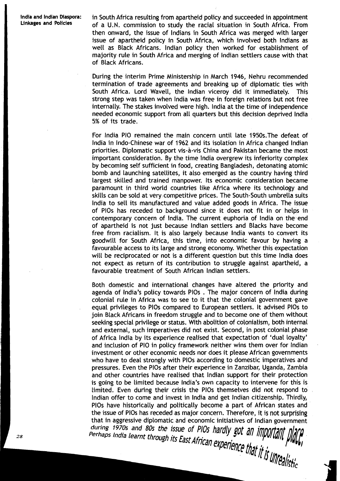**lndia and lndian Diaspora:** in South Africa resulting from apartheid policy and succeeded in appointment of a U.N. commission to study the racial situation in South Africa. From then onward, the issue of lndians in South Africa was merged with larger issue af apartheid policy in South Africa, which involved both lndians as well as Black Africans. lndian policy then worked for establishment of majority rule in South Africa and merging of lndian settlers cause with that of Black Africans.

> During the interim Prime Ministership in March 1946, Nehru recommended termination of trade agreements and breaking up of diplomatic ties with South Africa. Lord Wavell, the lndian viceroy did it immediately. This strong step was taken when lndia was free in foreign relations but not free internally. The stakes involved were high. lndia at the time of independence needed economic support from all quarters but this decision deprived lndia 5% of its trade.

> For lndia PI0 remained the main concern until Late 1950s.The defeat of lndia in Indo-Chinese war of 1962 and its isolation in Africa changed lndian priorities. Diplomatic support vis-a-vis China and Pakistan became the most important consideration. By the time lndia overgrew its inferiority complex by becoming self sufficient in food, creating Bangladesh, detonating atomic bomb and Launching satellites, it also emerged as the country having third largest skilled and trained manpower. Its economic consideration became paramount in third world countries like Africa where its technology and skills can be sold at very competitive prices. The South-South umbrella suits lndia to sell its manufactured and value added goods in Africa. The issue of PlOs has receded to background since it does not fit in or helps in contemporary concern of India. The current euphoria of India on the end of apartheid is not just because lndian settlers and Blacks have become free from racialism. It is also largely because lndia wants to convert its goodwill for South Africa, this time, into economic favour by having a favourable access to its Large and strong economy. Whether this expectation will be reciprocated or not is a different question but this time lndia does not expect as return of its contribution to struggle against apartheid, a favourable treatment of South African lndian settlers.

> Both domestic and international changes have altered the priority and agenda of India's policy towards PlOs . The major concern of lndia during colonial rule in Africa was to see to it that the colonial government gave equal privileges to PlOs compared to European settlers. It advised PlOs to join Black Africans in freedom struggle and to become one of them without seeking special privilege or status. With abolition of colonialism, both internal and external, such imperatives did not exist. Second, in post colonial phase of Africa lndia by its experience realised that expectation of 'dual loyalty' and inclusion of PI0 in policy framework neither wins them over for lndian investment or other economic needs nor does it please African governments who have to deal strongly with PlOs according to domestic imperatives and pressures. Even the PlOs after their experience in Zanzibar, Uganda, Zambia and other countries have realised that lndian support for their protection is going to be limited because India's own capacity to intervene for this is limited. Even during their crisis the PlOs themselves did not respond to lndian offer to come and invest in lndia and get lndian citizenship. Thirdly, PlOs have historically and politically become a part of African states and the issue of PlOs has receded as major concern. Therefore, it is not surprising that in aggressive diplomatic and economic initiatives of lndian government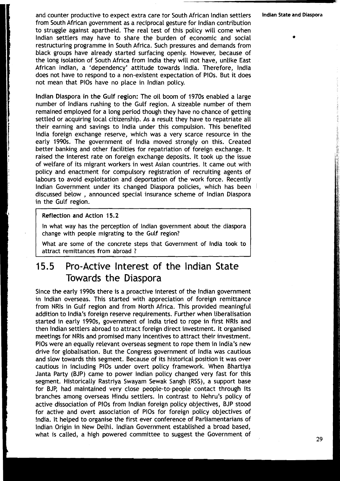and counter productive to expect extra care tor South African lndian settlers **Indian State and Diaspora**  from South African government as a reciprocal gesture for lndian contribution to struggle against apartheid. The real test of this policy will come when lndian settlers may have to share the burden of economic and social **<sup>L</sup>**restructuring programme in South Africa. Such pressures and demands from black groups have already started surfacing openly. However, because of the long isolation of South Africa from lndia they will not have, unlike East African Indian, a 'dependency' attitude towards India. Therefore, lndia does not have to respond to a non-existent expectation of PlOs. But it does not mean that PlOs have no place in lndian policy.

lndian Diaspora in the Gulf region: The oil boom of 1970s enabled a large number of Indians rushing to the Gulf region. A sizeable number of them remained employed for a long period though they have no chance of getting settled or acquiring local citizenship. As a result they have to repatriate all their earning and savings to lndia under this compulsion. This benefited lndia foreign exchange reserve, which was a very scarce resource in the early 1990s. The government of lndia moved strongly on this. Created better banking and other facilities for repatriation of foreign exchange. It raised the interest rate on foreign exchange deposits. It took up the issue of welfare of its migrant workers in west Asian countries. It came out with policy and enactment for compulsory registration of recruiting agents of labours to avoid exploitation and deportation of the work force. Recently lndian Government under its changed Diaspora policies, which has been 1 discussed below , announced special insurance scheme of lndian Diaspora in the Gulf region.

#### Reflection and Action 15.2

In what way has the perception of lndian government about the diaspora change with people migrating to the Gulf region?

What are some of the concrete steps that Government of lndia took to attract remittances from abroad ?

# **15.5** Pro-Active Interest of the lndian State Towards the Diaspora

Since the early 1990s there is a proactive interest of the lndian government in lndian overseas. This started with appreciation of foreign remittance from NRls in Gulf region and from North Africa. This provided meaningful addition to India's foreign reserve requirements. Further when liberalisation started in early 1990s, government of India tried to rope in first NRIs and then lndian settlers abroad to attract foreign direct investment. It organised meetings for NRls and promised many incentives to attract their investment. PlOs were an equally relevant overseas segment to rope them in India's new drive for globalisation. But the Congress government of lndia was cautious and slow towards this segment. Because of its historical position it was over cautious in including PlOs under overt policy framework. When Bhartiya Janta Party (BJP) came to power lndian policy changed very fast for this segment. Historically Rastriya Swayam Sewak Sangh (RSS), a support base for BJP, had maintained very close people-to-people contact through its branches among overseas Hindu settlers. In contrast to Nehru's policy of active dissociation of PlOs from lndian foreign policy objectives, BJP stood for active and overt association of PlOs for fareign policy objectives of !ndia. It helped to organise the first ever conference of Parliamentarians of lndian Origin in New Delhi. lndian Government established a broad based, what is called, a high powered committee to suggest the Government of